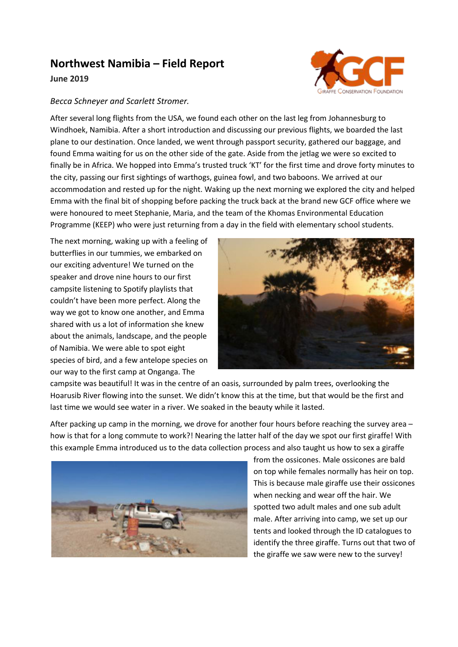## **Northwest Namibia – Field Report**



## *Becca Schneyer and Scarlett Stromer.*

After several long flights from the USA, we found each other on the last leg from Johannesburg to Windhoek, Namibia. After a short introduction and discussing our previous flights, we boarded the last plane to our destination. Once landed, we went through passport security, gathered our baggage, and found Emma waiting for us on the other side of the gate. Aside from the jetlag we were so excited to finally be in Africa. We hopped into Emma's trusted truck 'KT' for the first time and drove forty minutes to the city, passing our first sightings of warthogs, guinea fowl, and two baboons. We arrived at our accommodation and rested up for the night. Waking up the next morning we explored the city and helped Emma with the final bit of shopping before packing the truck back at the brand new GCF office where we were honoured to meet Stephanie, Maria, and the team of the Khomas Environmental Education Programme (KEEP) who were just returning from a day in the field with elementary school students.

The next morning, waking up with a feeling of butterflies in our tummies, we embarked on our exciting adventure! We turned on the speaker and drove nine hours to our first campsite listening to Spotify playlists that couldn't have been more perfect. Along the way we got to know one another, and Emma shared with us a lot of information she knew about the animals, landscape, and the people of Namibia. We were able to spot eight species of bird, and a few antelope species on our way to the first camp at Onganga. The



campsite was beautiful! It was in the centre of an oasis, surrounded by palm trees, overlooking the Hoarusib River flowing into the sunset. We didn't know this at the time, but that would be the first and last time we would see water in a river. We soaked in the beauty while it lasted.

After packing up camp in the morning, we drove for another four hours before reaching the survey area – how is that for a long commute to work?! Nearing the latter half of the day we spot our first giraffe! With this example Emma introduced us to the data collection process and also taught us how to sex a giraffe



from the ossicones. Male ossicones are bald on top while females normally has heir on top. This is because male giraffe use their ossicones when necking and wear off the hair. We spotted two adult males and one sub adult male. After arriving into camp, we set up our tents and looked through the ID catalogues to identify the three giraffe. Turns out that two of the giraffe we saw were new to the survey!

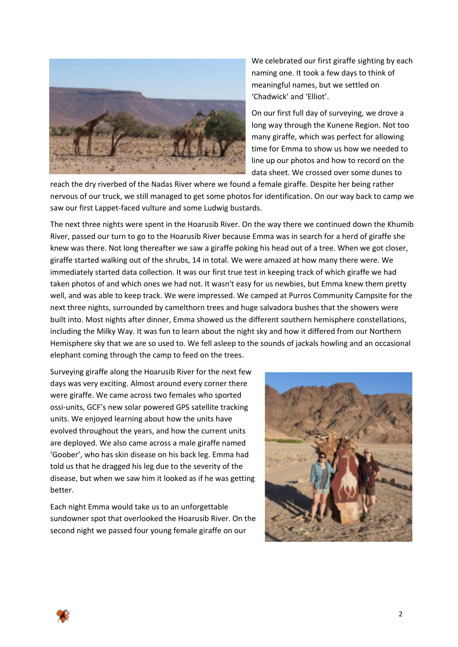

We celebrated our first giraffe sighting by each naming one. It took a few days to think of meaningful names, but we settled on 'Chadwick' and 'Elliot'.

On our first full day of surveying, we drove a long way through the Kunene Region. Not too many giraffe, which was perfect for allowing time for Emma to show us how we needed to line up our photos and how to record on the data sheet. We crossed over some dunes to

reach the dry riverbed of the Nadas River where we found a female giraffe. Despite her being rather nervous of our truck, we still managed to get some photos for identification. On our way back to camp we saw our first Lappet-faced vulture and some Ludwig bustards.

The next three nights were spent in the Hoarusib River. On the way there we continued down the Khumib River, passed our turn to go to the Hoarusib River because Emma was in search for a herd of giraffe she knew was there. Not long thereafter we saw a giraffe poking his head out of a tree. When we got closer, giraffe started walking out of the shrubs, 14 in total. We were amazed at how many there were. We immediately started data collection. It was our first true test in keeping track of which giraffe we had taken photos of and which ones we had not. It wasn't easy for us newbies, but Emma knew them pretty well, and was able to keep track. We were impressed. We camped at Purros Community Campsite for the next three nights, surrounded by camelthorn trees and huge salvadora bushes that the showers were built into. Most nights after dinner, Emma showed us the different southern hemisphere constellations, including the Milky Way. It was fun to learn about the night sky and how it differed from our Northern Hemisphere sky that we are so used to. We fell asleep to the sounds of jackals howling and an occasional elephant coming through the camp to feed on the trees.

Surveying giraffe along the Hoarusib River for the next few days was very exciting. Almost around every corner there were giraffe. We came across two females who sported ossi-units, GCF's new solar powered GPS satellite tracking units. We enjoyed learning about how the units have evolved throughout the years, and how the current units are deployed. We also came across a male giraffe named 'Goober', who has skin disease on his back leg. Emma had told us that he dragged his leg due to the severity of the disease, but when we saw him it looked as if he was getting better.

Each night Emma would take us to an unforgettable sundowner spot that overlooked the Hoarusib River. On the second night we passed four young female giraffe on our



2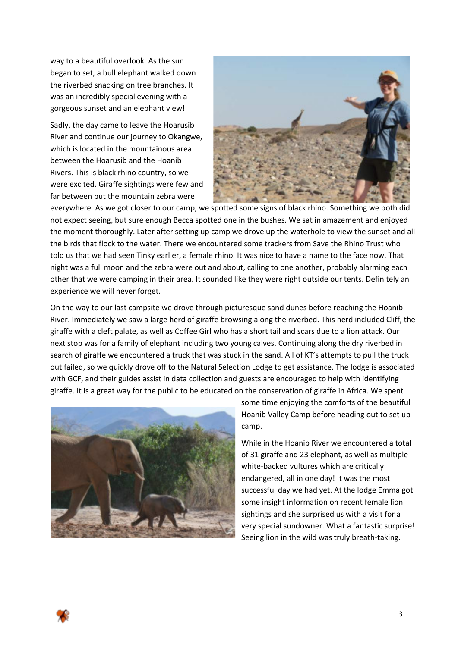way to a beautiful overlook. As the sun began to set, a bull elephant walked down the riverbed snacking on tree branches. It was an incredibly special evening with a gorgeous sunset and an elephant view!

Sadly, the day came to leave the Hoarusib River and continue our journey to Okangwe, which is located in the mountainous area between the Hoarusib and the Hoanib Rivers. This is black rhino country, so we were excited. Giraffe sightings were few and far between but the mountain zebra were



everywhere. As we got closer to our camp, we spotted some signs of black rhino. Something we both did not expect seeing, but sure enough Becca spotted one in the bushes. We sat in amazement and enjoyed the moment thoroughly. Later after setting up camp we drove up the waterhole to view the sunset and all the birds that flock to the water. There we encountered some trackers from Save the Rhino Trust who told us that we had seen Tinky earlier, a female rhino. It was nice to have a name to the face now. That night was a full moon and the zebra were out and about, calling to one another, probably alarming each other that we were camping in their area. It sounded like they were right outside our tents. Definitely an experience we will never forget.

On the way to our last campsite we drove through picturesque sand dunes before reaching the Hoanib River. Immediately we saw a large herd of giraffe browsing along the riverbed. This herd included Cliff, the giraffe with a cleft palate, as well as Coffee Girl who has a short tail and scars due to a lion attack. Our next stop was for a family of elephant including two young calves. Continuing along the dry riverbed in search of giraffe we encountered a truck that was stuck in the sand. All of KT's attempts to pull the truck out failed, so we quickly drove off to the Natural Selection Lodge to get assistance. The lodge is associated with GCF, and their guides assist in data collection and guests are encouraged to help with identifying giraffe. It is a great way for the public to be educated on the conservation of giraffe in Africa. We spent



some time enjoying the comforts of the beautiful Hoanib Valley Camp before heading out to set up camp.

While in the Hoanib River we encountered a total of 31 giraffe and 23 elephant, as well as multiple white-backed vultures which are critically endangered, all in one day! It was the most successful day we had yet. At the lodge Emma got some insight information on recent female lion sightings and she surprised us with a visit for a very special sundowner. What a fantastic surprise! Seeing lion in the wild was truly breath-taking.